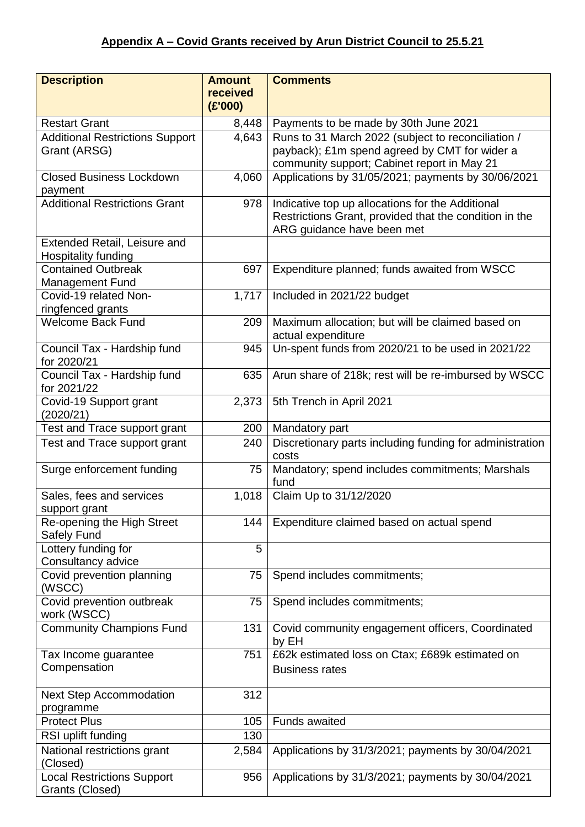| <b>Description</b>                                         | <b>Amount</b><br>received | <b>Comments</b>                                                                                                                                    |
|------------------------------------------------------------|---------------------------|----------------------------------------------------------------------------------------------------------------------------------------------------|
|                                                            | (E'000)                   |                                                                                                                                                    |
| <b>Restart Grant</b>                                       | 8,448                     | Payments to be made by 30th June 2021                                                                                                              |
| <b>Additional Restrictions Support</b><br>Grant (ARSG)     | 4,643                     | Runs to 31 March 2022 (subject to reconciliation /<br>payback); £1m spend agreed by CMT for wider a<br>community support; Cabinet report in May 21 |
| <b>Closed Business Lockdown</b>                            | 4,060                     | Applications by 31/05/2021; payments by 30/06/2021                                                                                                 |
| payment                                                    |                           |                                                                                                                                                    |
| <b>Additional Restrictions Grant</b>                       | 978                       | Indicative top up allocations for the Additional<br>Restrictions Grant, provided that the condition in the<br>ARG guidance have been met           |
| Extended Retail, Leisure and<br><b>Hospitality funding</b> |                           |                                                                                                                                                    |
| <b>Contained Outbreak</b>                                  | 697                       | Expenditure planned; funds awaited from WSCC                                                                                                       |
| <b>Management Fund</b><br>Covid-19 related Non-            | 1,717                     | Included in 2021/22 budget                                                                                                                         |
| ringfenced grants                                          |                           |                                                                                                                                                    |
| <b>Welcome Back Fund</b>                                   | 209                       | Maximum allocation; but will be claimed based on<br>actual expenditure                                                                             |
| Council Tax - Hardship fund<br>for 2020/21                 | 945                       | Un-spent funds from 2020/21 to be used in 2021/22                                                                                                  |
| Council Tax - Hardship fund<br>for 2021/22                 | 635                       | Arun share of 218k; rest will be re-imbursed by WSCC                                                                                               |
| Covid-19 Support grant<br>(2020/21)                        | 2,373                     | 5th Trench in April 2021                                                                                                                           |
| Test and Trace support grant                               | 200                       | Mandatory part                                                                                                                                     |
| Test and Trace support grant                               | 240                       | Discretionary parts including funding for administration<br>costs                                                                                  |
| Surge enforcement funding                                  | 75                        | Mandatory; spend includes commitments; Marshals<br>fund                                                                                            |
| Sales, fees and services<br>support grant                  | 1,018                     | Claim Up to 31/12/2020                                                                                                                             |
| Re-opening the High Street<br>Safely Fund                  | 144                       | Expenditure claimed based on actual spend                                                                                                          |
| Lottery funding for<br>Consultancy advice                  | 5                         |                                                                                                                                                    |
| Covid prevention planning<br>(WSCC)                        | 75                        | Spend includes commitments;                                                                                                                        |
| Covid prevention outbreak<br>work (WSCC)                   | 75                        | Spend includes commitments;                                                                                                                        |
| <b>Community Champions Fund</b>                            | 131                       | Covid community engagement officers, Coordinated<br>by EH                                                                                          |
| Tax Income guarantee                                       | 751                       | £62k estimated loss on Ctax; £689k estimated on                                                                                                    |
| Compensation                                               |                           | <b>Business rates</b>                                                                                                                              |
| <b>Next Step Accommodation</b><br>programme                | 312                       |                                                                                                                                                    |
| <b>Protect Plus</b>                                        | 105                       | <b>Funds awaited</b>                                                                                                                               |
| RSI uplift funding                                         | 130                       |                                                                                                                                                    |
| National restrictions grant<br>(Closed)                    | 2,584                     | Applications by 31/3/2021; payments by 30/04/2021                                                                                                  |
| <b>Local Restrictions Support</b><br>Grants (Closed)       | 956                       | Applications by 31/3/2021; payments by 30/04/2021                                                                                                  |